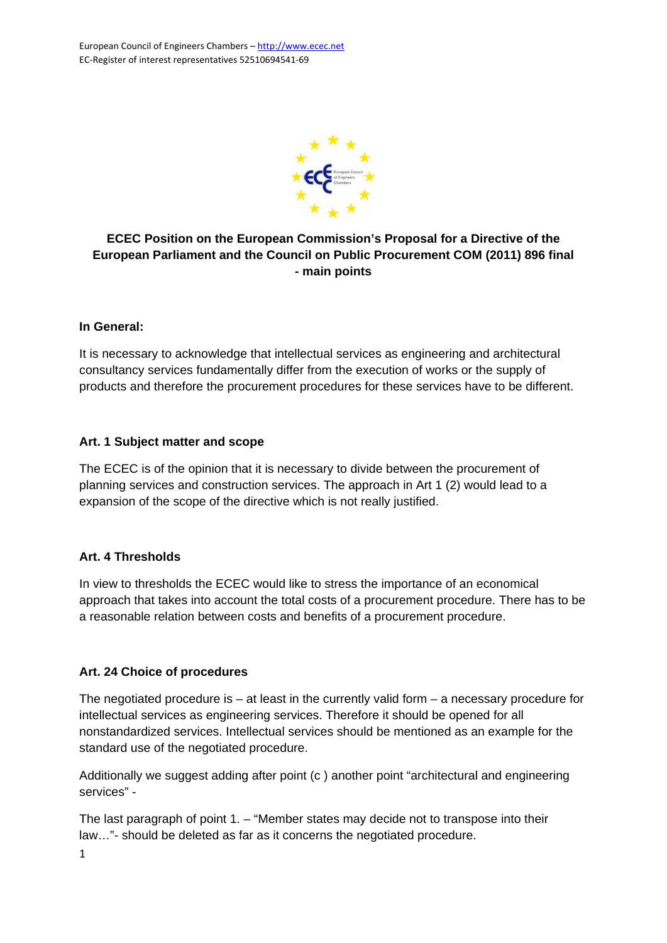

# **ECEC Position on the European Commission's Proposal for a Directive of the European Parliament and the Council on Public Procurement COM (2011) 896 final - main points**

### **In General:**

It is necessary to acknowledge that intellectual services as engineering and architectural consultancy services fundamentally differ from the execution of works or the supply of products and therefore the procurement procedures for these services have to be different.

### **Art. 1 Subject matter and scope**

The ECEC is of the opinion that it is necessary to divide between the procurement of planning services and construction services. The approach in Art 1 (2) would lead to a expansion of the scope of the directive which is not really justified.

# **Art. 4 Thresholds**

In view to thresholds the ECEC would like to stress the importance of an economical approach that takes into account the total costs of a procurement procedure. There has to be a reasonable relation between costs and benefits of a procurement procedure.

# **Art. 24 Choice of procedures**

The negotiated procedure is – at least in the currently valid form – a necessary procedure for intellectual services as engineering services. Therefore it should be opened for all nonstandardized services. Intellectual services should be mentioned as an example for the standard use of the negotiated procedure.

Additionally we suggest adding after point (c) another point "architectural and engineering services" -

The last paragraph of point 1. – "Member states may decide not to transpose into their law…"- should be deleted as far as it concerns the negotiated procedure.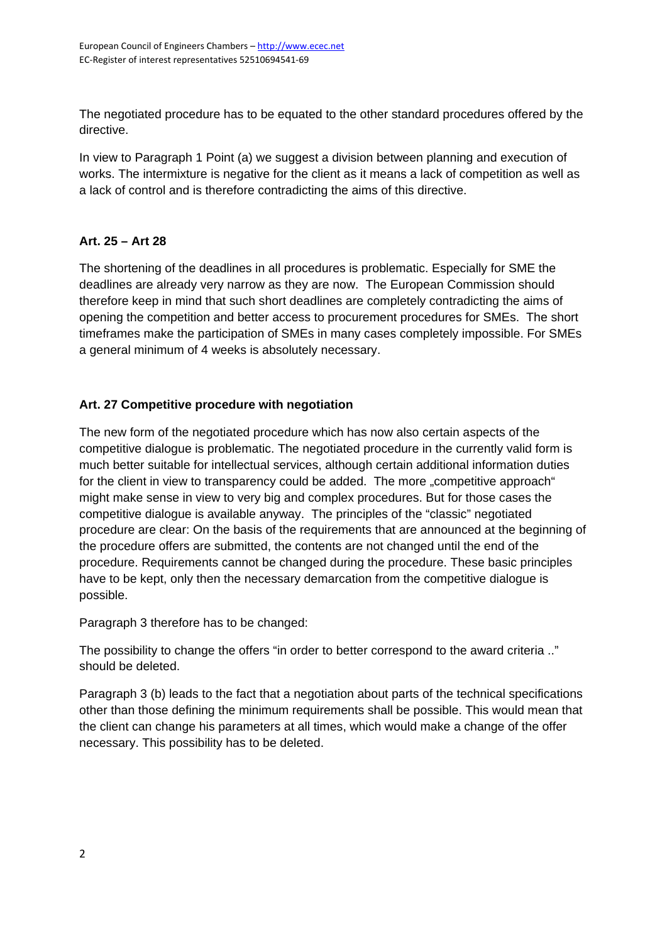The negotiated procedure has to be equated to the other standard procedures offered by the directive.

In view to Paragraph 1 Point (a) we suggest a division between planning and execution of works. The intermixture is negative for the client as it means a lack of competition as well as a lack of control and is therefore contradicting the aims of this directive.

# **Art. 25 – Art 28**

The shortening of the deadlines in all procedures is problematic. Especially for SME the deadlines are already very narrow as they are now.The European Commission should therefore keep in mind that such short deadlines are completely contradicting the aims of opening the competition and better access to procurement procedures for SMEs. The short timeframes make the participation of SMEs in many cases completely impossible. For SMEs a general minimum of 4 weeks is absolutely necessary.

# **Art. 27 Competitive procedure with negotiation**

The new form of the negotiated procedure which has now also certain aspects of the competitive dialogue is problematic. The negotiated procedure in the currently valid form is much better suitable for intellectual services, although certain additional information duties for the client in view to transparency could be added. The more "competitive approach" might make sense in view to very big and complex procedures. But for those cases the competitive dialogue is available anyway. The principles of the "classic" negotiated procedure are clear: On the basis of the requirements that are announced at the beginning of the procedure offers are submitted, the contents are not changed until the end of the procedure. Requirements cannot be changed during the procedure. These basic principles have to be kept, only then the necessary demarcation from the competitive dialogue is possible.

Paragraph 3 therefore has to be changed:

The possibility to change the offers "in order to better correspond to the award criteria .." should be deleted.

Paragraph 3 (b) leads to the fact that a negotiation about parts of the technical specifications other than those defining the minimum requirements shall be possible. This would mean that the client can change his parameters at all times, which would make a change of the offer necessary. This possibility has to be deleted.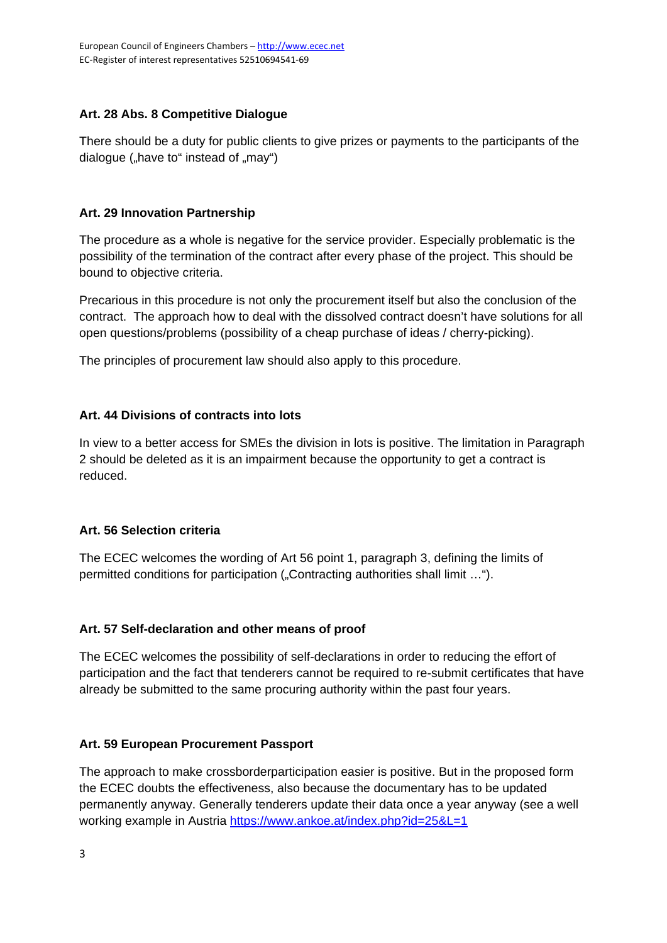# **Art. 28 Abs. 8 Competitive Dialogue**

There should be a duty for public clients to give prizes or payments to the participants of the dialogue ("have to" instead of "may")

### **Art. 29 Innovation Partnership**

The procedure as a whole is negative for the service provider. Especially problematic is the possibility of the termination of the contract after every phase of the project. This should be bound to objective criteria.

Precarious in this procedure is not only the procurement itself but also the conclusion of the contract. The approach how to deal with the dissolved contract doesn't have solutions for all open questions/problems (possibility of a cheap purchase of ideas / cherry-picking).

The principles of procurement law should also apply to this procedure.

# **Art. 44 Divisions of contracts into lots**

In view to a better access for SMEs the division in lots is positive. The limitation in Paragraph 2 should be deleted as it is an impairment because the opportunity to get a contract is reduced.

# **Art. 56 Selection criteria**

The ECEC welcomes the wording of Art 56 point 1, paragraph 3, defining the limits of permitted conditions for participation ("Contracting authorities shall limit …").

# **Art. 57 Self-declaration and other means of proof**

The ECEC welcomes the possibility of self-declarations in order to reducing the effort of participation and the fact that tenderers cannot be required to re-submit certificates that have already be submitted to the same procuring authority within the past four years.

# **Art. 59 European Procurement Passport**

The approach to make crossborderparticipation easier is positive. But in the proposed form the ECEC doubts the effectiveness, also because the documentary has to be updated permanently anyway. Generally tenderers update their data once a year anyway (see a well working example in Austria https://www.ankoe.at/index.php?id=25&L=1